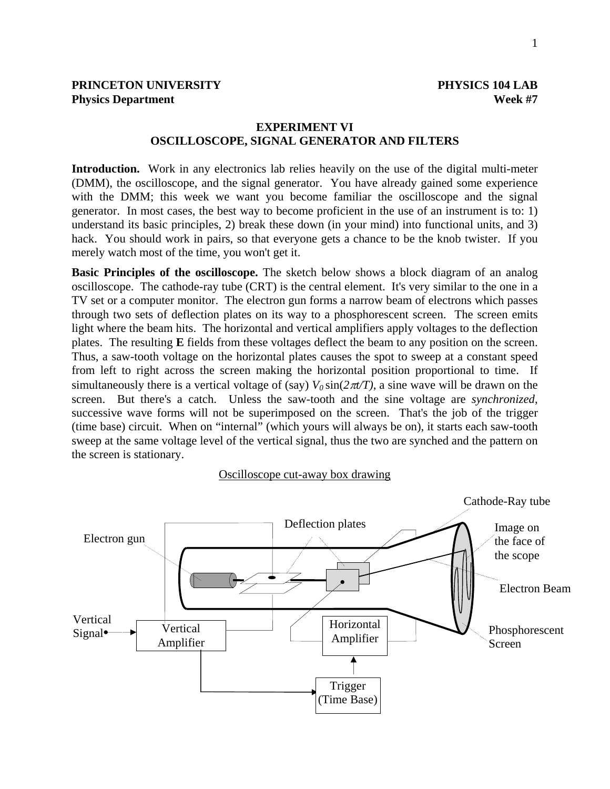## **EXPERIMENT VI OSCILLOSCOPE, SIGNAL GENERATOR AND FILTERS**

**Introduction.** Work in any electronics lab relies heavily on the use of the digital multi-meter (DMM), the oscilloscope, and the signal generator. You have already gained some experience with the DMM; this week we want you become familiar the oscilloscope and the signal generator. In most cases, the best way to become proficient in the use of an instrument is to: 1) understand its basic principles, 2) break these down (in your mind) into functional units, and 3) hack. You should work in pairs, so that everyone gets a chance to be the knob twister. If you merely watch most of the time, you won't get it.

**Basic Principles of the oscilloscope.** The sketch below shows a block diagram of an analog oscilloscope. The cathode-ray tube (CRT) is the central element. It's very similar to the one in a TV set or a computer monitor. The electron gun forms a narrow beam of electrons which passes through two sets of deflection plates on its way to a phosphorescent screen. The screen emits light where the beam hits. The horizontal and vertical amplifiers apply voltages to the deflection plates. The resulting **E** fields from these voltages deflect the beam to any position on the screen. Thus, a saw-tooth voltage on the horizontal plates causes the spot to sweep at a constant speed from left to right across the screen making the horizontal position proportional to time. If simultaneously there is a vertical voltage of (say)  $V_0 \sin(2\pi t/T)$ , a sine wave will be drawn on the screen. But there's a catch. Unless the saw-tooth and the sine voltage are *synchronized*, successive wave forms will not be superimposed on the screen. That's the job of the trigger (time base) circuit. When on "internal" (which yours will always be on), it starts each saw-tooth sweep at the same voltage level of the vertical signal, thus the two are synched and the pattern on the screen is stationary.

#### Oscilloscope cut-away box drawing

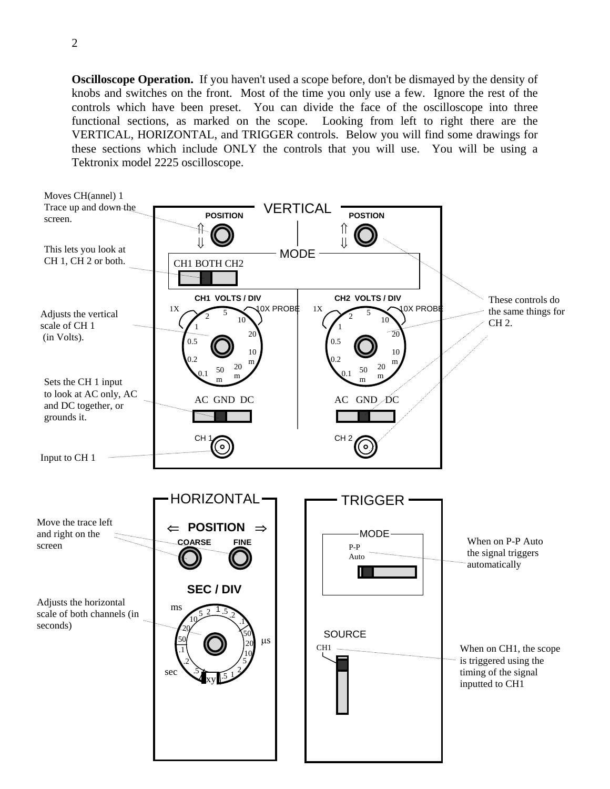**Oscilloscope Operation.** If you haven't used a scope before, don't be dismayed by the density of knobs and switches on the front. Most of the time you only use a few. Ignore the rest of the controls which have been preset. You can divide the face of the oscilloscope into three functional sections, as marked on the scope. Looking from left to right there are the VERTICAL, HORIZONTAL, and TRIGGER controls. Below you will find some drawings for these sections which include ONLY the controls that you will use. You will be using a Tektronix model 2225 oscilloscope.

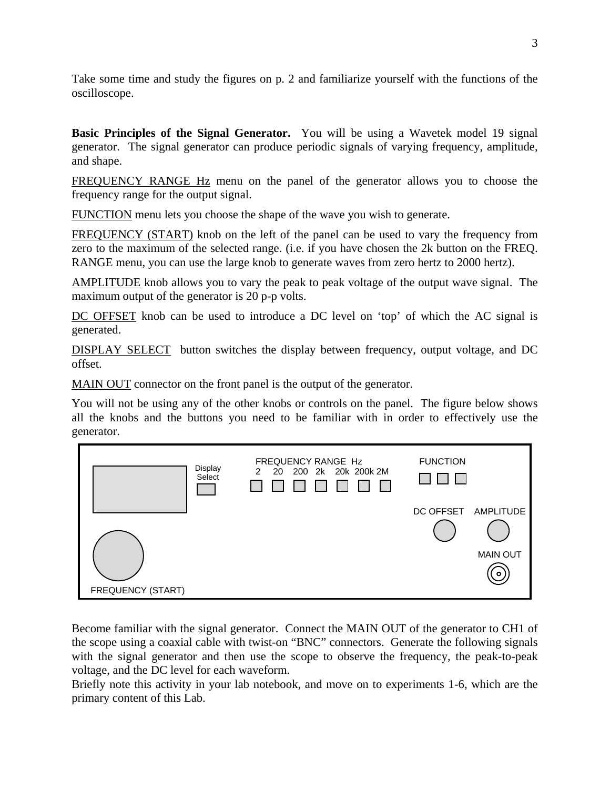Take some time and study the figures on p. 2 and familiarize yourself with the functions of the oscilloscope.

**Basic Principles of the Signal Generator.** You will be using a Wavetek model 19 signal generator. The signal generator can produce periodic signals of varying frequency, amplitude, and shape.

FREQUENCY RANGE Hz menu on the panel of the generator allows you to choose the frequency range for the output signal.

FUNCTION menu lets you choose the shape of the wave you wish to generate.

FREQUENCY (START) knob on the left of the panel can be used to vary the frequency from zero to the maximum of the selected range. (i.e. if you have chosen the 2k button on the FREQ. RANGE menu, you can use the large knob to generate waves from zero hertz to 2000 hertz).

AMPLITUDE knob allows you to vary the peak to peak voltage of the output wave signal. The maximum output of the generator is 20 p-p volts.

DC OFFSET knob can be used to introduce a DC level on 'top' of which the AC signal is generated.

DISPLAY SELECT button switches the display between frequency, output voltage, and DC offset.

MAIN OUT connector on the front panel is the output of the generator.

You will not be using any of the other knobs or controls on the panel. The figure below shows all the knobs and the buttons you need to be familiar with in order to effectively use the generator.



Become familiar with the signal generator. Connect the MAIN OUT of the generator to CH1 of the scope using a coaxial cable with twist-on "BNC" connectors. Generate the following signals with the signal generator and then use the scope to observe the frequency, the peak-to-peak voltage, and the DC level for each waveform.

Briefly note this activity in your lab notebook, and move on to experiments 1-6, which are the primary content of this Lab.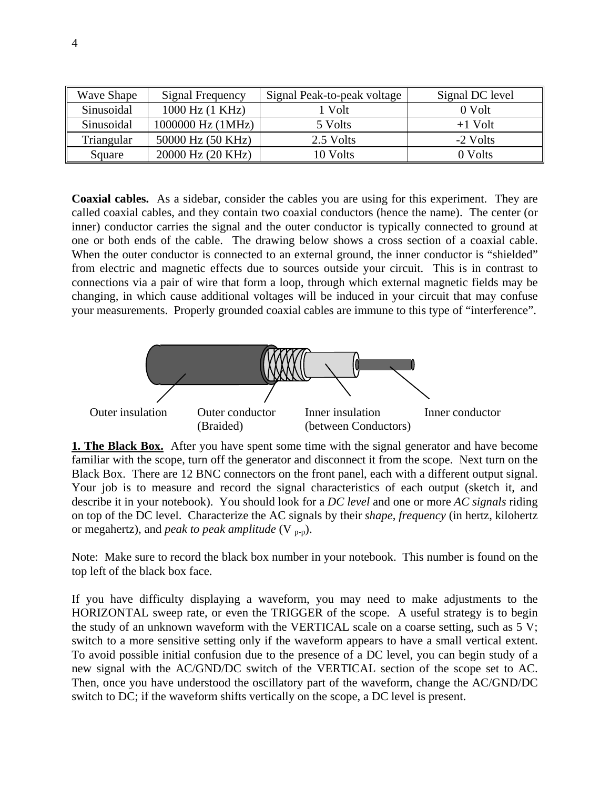| Wave Shape | Signal Frequency  | Signal Peak-to-peak voltage | Signal DC level |
|------------|-------------------|-----------------------------|-----------------|
| Sinusoidal | 1000 Hz (1 KHz)   | 1 Volt                      | 0 Volt          |
| Sinusoidal | 1000000 Hz (1MHz) | 5 Volts                     | $+1$ Volt       |
| Triangular | 50000 Hz (50 KHz) | 2.5 Volts                   | -2 Volts        |
| Square     | 20000 Hz (20 KHz) | 10 Volts                    | 0 Volts         |

**Coaxial cables.** As a sidebar, consider the cables you are using for this experiment. They are called coaxial cables, and they contain two coaxial conductors (hence the name). The center (or inner) conductor carries the signal and the outer conductor is typically connected to ground at one or both ends of the cable. The drawing below shows a cross section of a coaxial cable. When the outer conductor is connected to an external ground, the inner conductor is "shielded" from electric and magnetic effects due to sources outside your circuit. This is in contrast to connections via a pair of wire that form a loop, through which external magnetic fields may be changing, in which cause additional voltages will be induced in your circuit that may confuse your measurements. Properly grounded coaxial cables are immune to this type of "interference".



**1. The Black Box.** After you have spent some time with the signal generator and have become familiar with the scope, turn off the generator and disconnect it from the scope. Next turn on the Black Box. There are 12 BNC connectors on the front panel, each with a different output signal. Your job is to measure and record the signal characteristics of each output (sketch it, and describe it in your notebook). You should look for a *DC level* and one or more *AC signals* riding on top of the DC level. Characterize the AC signals by their *shape*, *frequency* (in hertz, kilohertz or megahertz), and *peak to peak amplitude* (V p-p).

Note: Make sure to record the black box number in your notebook. This number is found on the top left of the black box face.

If you have difficulty displaying a waveform, you may need to make adjustments to the HORIZONTAL sweep rate, or even the TRIGGER of the scope. A useful strategy is to begin the study of an unknown waveform with the VERTICAL scale on a coarse setting, such as 5 V; switch to a more sensitive setting only if the waveform appears to have a small vertical extent. To avoid possible initial confusion due to the presence of a DC level, you can begin study of a new signal with the AC/GND/DC switch of the VERTICAL section of the scope set to AC. Then, once you have understood the oscillatory part of the waveform, change the AC/GND/DC switch to DC; if the waveform shifts vertically on the scope, a DC level is present.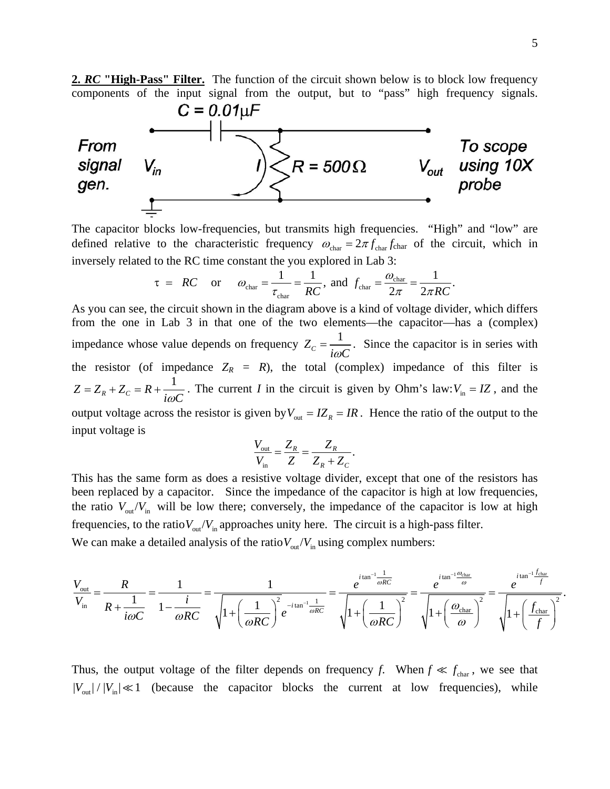2. *RC* "High-Pass" Filter. The function of the circuit shown below is to block low frequency components of the input signal from the output, but to "pass" high frequency signals.



The capacitor blocks low-frequencies, but transmits high frequencies. "High" and "low" are defined relative to the characteristic frequency  $\omega_{\text{char}} = 2\pi f_{\text{char}} f_{\text{char}}$  of the circuit, which in inversely related to the RC time constant the you explored in Lab 3:

$$
\tau = RC
$$
 or  $\omega_{\text{char}} = \frac{1}{\tau_{\text{char}}} = \frac{1}{RC}$ , and  $f_{\text{char}} = \frac{\omega_{\text{char}}}{2\pi} = \frac{1}{2\pi RC}$ .

As you can see, the circuit shown in the diagram above is a kind of voltage divider, which differs from the one in Lab 3 in that one of the two elements—the capacitor—has a (complex) impedance whose value depends on frequency  $Z_c = \frac{1}{i\omega C}$ . Since the capacitor is in series with the resistor (of impedance  $Z_R = R$ ), the total (complex) impedance of this filter is  $Z = Z_R + Z_C = R + \frac{1}{i\omega C}$ . The current *I* in the circuit is given by Ohm's law: $V_{in} = IZ$ , and the output voltage across the resistor is given by  $V_{\text{out}} = IZ_R = IR$ . Hence the ratio of the output to the input voltage is

$$
\frac{V_{\text{out}}}{V_{\text{in}}} = \frac{Z_R}{Z} = \frac{Z_R}{Z_R + Z_C}.
$$

This has the same form as does a resistive voltage divider, except that one of the resistors has been replaced by a capacitor. Since the impedance of the capacitor is high at low frequencies, the ratio  $V_{\text{out}}/V_{\text{in}}$  will be low there; conversely, the impedance of the capacitor is low at high frequencies, to the ratio  $V_{\text{out}}/V_{\text{in}}$  approaches unity here. The circuit is a high-pass filter. We can make a detailed analysis of the ratio  $V_{\text{out}}/V_{\text{in}}$  using complex numbers:

$$
\frac{V_{\text{out}}}{V_{\text{in}}} = \frac{R}{R + \frac{1}{i\omega C}} = \frac{1}{1 - \frac{i}{\omega RC}} = \frac{1}{\sqrt{1 + \left(\frac{1}{\omega RC}\right)^2 e^{-i\tan^{-1}\frac{1}{\omega RC}}}} = \frac{e^{i\tan^{-1}\frac{1}{\omega RC}}}{\sqrt{1 + \left(\frac{1}{\omega RC}\right)^2}} = \frac{e^{i\tan^{-1}\frac{\theta_{\text{char}}}{\omega}}}{\sqrt{1 + \left(\frac{\theta_{\text{char}}}{\omega}\right)^2}} = \frac{e^{i\tan^{-1}\frac{\theta_{\text{char}}}{\omega}}}{\sqrt{1 + \left(\frac{\theta_{\text{char}}}{\omega}\right)^2}} = \frac{e^{i\tan^{-1}\frac{\theta_{\text{char}}}{\omega}}}{\sqrt{1 + \left(\frac{f_{\text{char}}}{f}\right)^2}}.
$$

Thus, the output voltage of the filter depends on frequency *f*. When  $f \ll f_{\text{char}}$ , we see that  $|V_{\text{out}}|/|V_{\text{in}}| \ll 1$  (because the capacitor blocks the current at low frequencies), while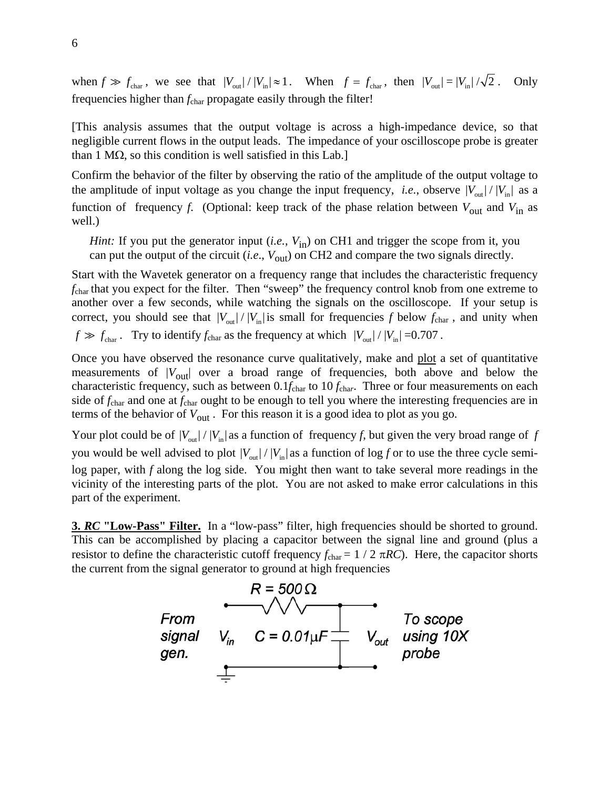when  $f \gg f_{\text{char}}$ , we see that  $|V_{\text{out}}| / |V_{\text{in}}| \approx 1$ . When  $f = f_{\text{char}}$ , then  $|V_{\text{out}}| = |V_{\text{in}}| / \sqrt{2}$ . Only frequencies higher than *f*<sub>char</sub> propagate easily through the filter!

[This analysis assumes that the output voltage is across a high-impedance device, so that negligible current flows in the output leads. The impedance of your oscilloscope probe is greater than 1 MΩ, so this condition is well satisfied in this Lab.

Confirm the behavior of the filter by observing the ratio of the amplitude of the output voltage to the amplitude of input voltage as you change the input frequency, *i.e.*, observe  $|V_{\text{out}}| / |V_{\text{in}}|$  as a function of frequency *f*. (Optional: keep track of the phase relation between  $V_{\text{out}}$  and  $V_{\text{in}}$  as well.)

*Hint:* If you put the generator input (*i.e.*,  $V_{in}$ ) on CH1 and trigger the scope from it, you can put the output of the circuit (*i.e.*,  $V_{\text{out}}$ ) on CH2 and compare the two signals directly.

Start with the Wavetek generator on a frequency range that includes the characteristic frequency *f*char that you expect for the filter. Then "sweep" the frequency control knob from one extreme to another over a few seconds, while watching the signals on the oscilloscope. If your setup is correct, you should see that  $|V_{\text{out}}| / |V_{\text{in}}|$  is small for frequencies *f* below  $f_{\text{char}}$ , and unity when  $f \gg f_{\text{char}}$ . Try to identify  $f_{\text{char}}$  as the frequency at which  $|V_{\text{out}}| / |V_{\text{in}}|$  =0.707.

Once you have observed the resonance curve qualitatively, make and plot a set of quantitative measurements of  $|V_{\text{out}}|$  over a broad range of frequencies, both above and below the characteristic frequency, such as between  $0.1f_{\text{char}}$  to  $10 f_{\text{char}}$ . Three or four measurements on each side of *f*char and one at *f*char ought to be enough to tell you where the interesting frequencies are in terms of the behavior of  $V_{\text{out}}$ . For this reason it is a good idea to plot as you go.

Your plot could be of  $|V_{out}| / |V_{in}|$  as a function of frequency *f*, but given the very broad range of *f* you would be well advised to plot  $|V_{\text{out}}| / |V_{\text{in}}|$  as a function of log *f* or to use the three cycle semilog paper, with *f* along the log side. You might then want to take several more readings in the vicinity of the interesting parts of the plot. You are not asked to make error calculations in this part of the experiment.

**3.** *RC* "Low-Pass" Filter. In a "low-pass" filter, high frequencies should be shorted to ground. This can be accomplished by placing a capacitor between the signal line and ground (plus a resistor to define the characteristic cutoff frequency  $f_{\text{char}} = 1/2 \pi RC$ ). Here, the capacitor shorts the current from the signal generator to ground at high frequencies

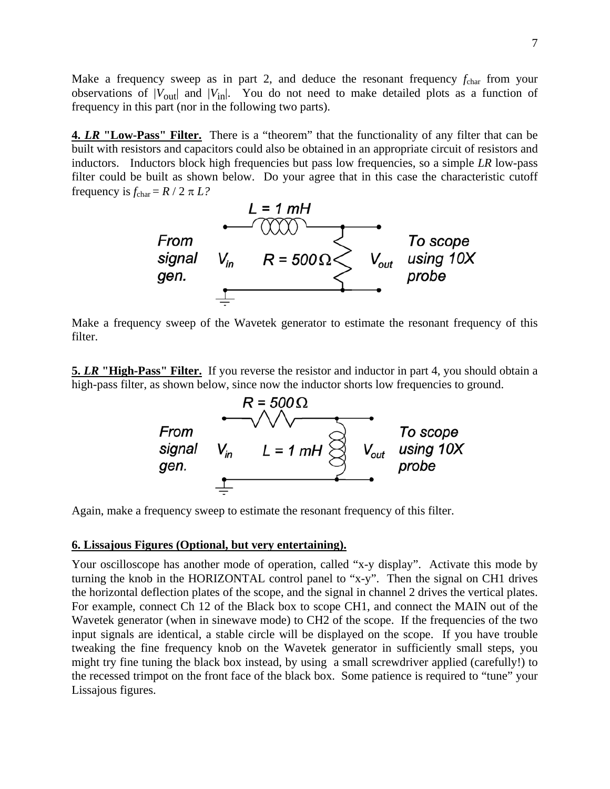Make a frequency sweep as in part 2, and deduce the resonant frequency  $f_{\text{char}}$  from your observations of  $|V_{\text{out}}|$  and  $|V_{\text{in}}|$ . You do not need to make detailed plots as a function of frequency in this part (nor in the following two parts).

**4. LR "Low-Pass" Filter.** There is a "theorem" that the functionality of any filter that can be built with resistors and capacitors could also be obtained in an appropriate circuit of resistors and inductors. Inductors block high frequencies but pass low frequencies, so a simple *LR* low-pass filter could be built as shown below. Do your agree that in this case the characteristic cutoff frequency is  $f_{\text{char}} = R / 2 \pi L?$ 



Make a frequency sweep of the Wavetek generator to estimate the resonant frequency of this filter.

**5.** *LR* "High-Pass" Filter. If you reverse the resistor and inductor in part 4, you should obtain a high-pass filter, as shown below, since now the inductor shorts low frequencies to ground.



Again, make a frequency sweep to estimate the resonant frequency of this filter.

### **6. Lissajous Figures (Optional, but very entertaining).**

Your oscilloscope has another mode of operation, called "x-y display". Activate this mode by turning the knob in the HORIZONTAL control panel to "x-y". Then the signal on CH1 drives the horizontal deflection plates of the scope, and the signal in channel 2 drives the vertical plates. For example, connect Ch 12 of the Black box to scope CH1, and connect the MAIN out of the Wavetek generator (when in sinewave mode) to CH2 of the scope. If the frequencies of the two input signals are identical, a stable circle will be displayed on the scope. If you have trouble tweaking the fine frequency knob on the Wavetek generator in sufficiently small steps, you might try fine tuning the black box instead, by using a small screwdriver applied (carefully!) to the recessed trimpot on the front face of the black box. Some patience is required to "tune" your Lissajous figures.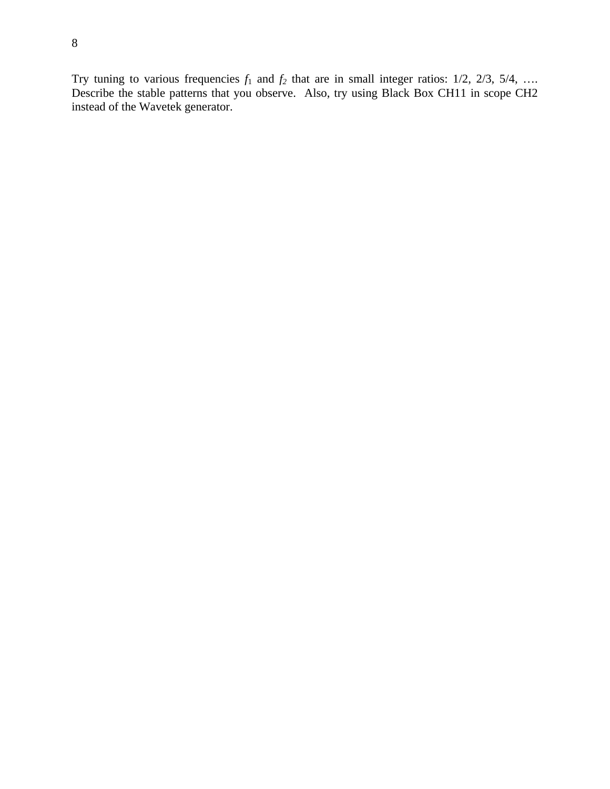Try tuning to various frequencies  $f_1$  and  $f_2$  that are in small integer ratios:  $1/2$ ,  $2/3$ ,  $5/4$ , ... Describe the stable patterns that you observe. Also, try using Black Box CH11 in scope CH2 instead of the Wavetek generator.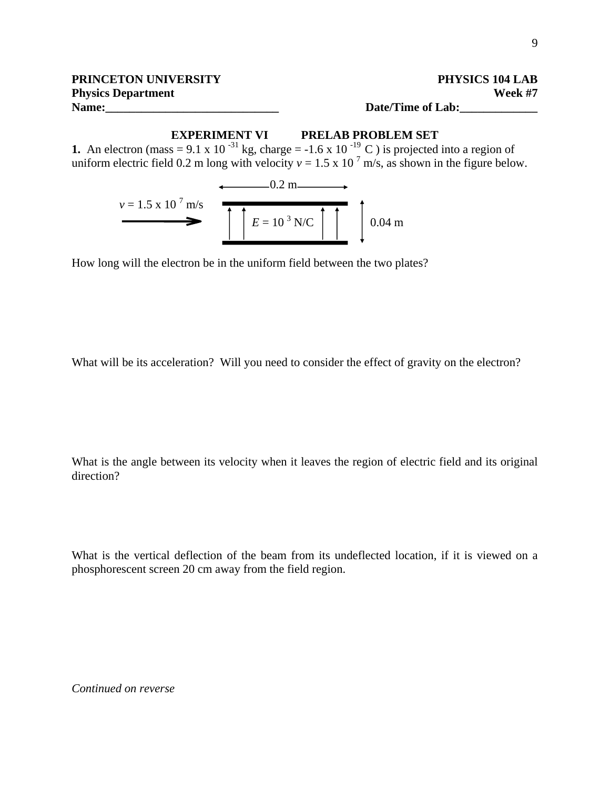# **EXPERIMENT VI PRELAB PROBLEM SET**

**1.** An electron (mass = 9.1 x 10<sup>-31</sup> kg, charge = -1.6 x 10<sup>-19</sup> C) is projected into a region of uniform electric field 0.2 m long with velocity  $v = 1.5 \times 10^{-7}$  m/s, as shown in the figure below.

$$
v = 1.5 \times 10^7 \text{ m/s}
$$
   
  $E = 10^3 \text{ N/C}$  0.04 m

How long will the electron be in the uniform field between the two plates?

What will be its acceleration? Will you need to consider the effect of gravity on the electron?

What is the angle between its velocity when it leaves the region of electric field and its original direction?

What is the vertical deflection of the beam from its undeflected location, if it is viewed on a phosphorescent screen 20 cm away from the field region.

*Continued on reverse*